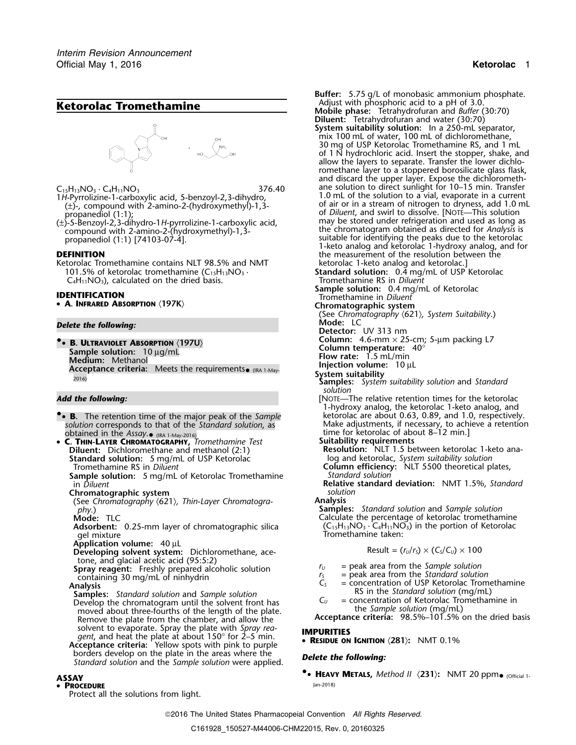# Adjust with phosphoric acid to a pH of 3.0. **Ketorolac Tromethamine Mobile phase:** Tetrahydrofuran and *Buffer* (30:70)



- *1H* Pyrrolizine 1 carboxylic acid, 5-benzoyl 2, 3-dihydro, (±) -, compound with 2-amino 2-(hydroxymethyl)
- compound with 2-amino-2-(hydroxymethyl)-1,3- the chromatogram obtained as directed for *Analysis* is

Ketorolac Tromethamine contains NLT 98.5% and NMT 101.5% of ketorolac tromethamine  $(C_{15}H_{13}NO_3 \cdot$  $C_4H_{11}NO_3$ ), calculated on the dried basis.

• **<sup>A</sup>. INFRARED ABSORPTION** 〈**197K**〉 **Chromatographic system**

## *Delete the following:*

**•.**• **<sup>B</sup>. ULTRAVIOLET ABSORPTION** 〈**197U**〉 **Column temperature:** 40° **Sample solution:**<sup>10</sup> <sup>µ</sup>g/mL **Medium: 10 µg/mL**<br> **Medium:** Methanol **Integration volume: 1.5 mL/min**<br> **Acceptance criteria:** Meets the requirements• (IRA 1-May-<br> **Injection volume: 10 µL Columnal Columnal Propertion volume: 10 µL** (IRA 1-May- **System suitability** 2016) **Samples:** *System suitability solution* and *Standard*

- **. <sup>B</sup>.** The retention time of the major peak of the *Sample* ketorolac are about 0.63, 0.89, and 1.0, respectively. *solution* corresponds to that of the *Standard solution*, as Make adjustments, if necessary, to achieve a retention<br>12 min.] botained in the *Assay* obtained in the Assay. (RA 1-May-2016)<br>**• C. THIN-LAYER CHROMATOGRAPHY,** *Tromethamine Test* Suitability requirements **C. THIN-LAYER CHROMATOGRAPHY**, *Tromethamine Test*
- •**Diluent:** Dichloromethane and methanol (2:1) **Resolution:** NLT 1.5 between ketorolac 1-keto ana-**Standard solution:** 5 mg/mL of USP Ketorolac log and ketorolac, *System suitability solution*<br>Tromethamine RS in *Diluent* **Column efficiency:** NLT 5500 theoretical pl

**Sample solution:** 5 mg/mL of Ketorolac Tromethamine in *Diluent* 

**Chromatographic system** *solution* (See *Chromatography* 〈621〉*, Thin-Layer Chromatogra-* **Analysis**

Adsorbent: 0.25-mm layer of chromatographic silica gel mixture The minimity of the entertainty supplies entertaint the Tromethamine taken:

**Application volume:** 40 µL

**Developing solvent system:** Dichloromethane, ace-<br>tone, and glacial acetic acid (95:5:2)

Spray reagent: Freshly prepared alcoholic solution<br>  $r_y$  = peak area from the Sample solution<br>
containing 30 mg/mL of ninhydrin<br>
Analysis<br>
Analysis<br>
Analysis

- RS in the *Standard solution* (mg/mL) **Samples:** *Standard solution* and *Sample solution* Develop the chromatogram until the solvent front has  $C_U = \text{concentration of}}$  for the Sample solution (mg/mL) moved about three-fourths of the length of the plate.<br>Remove the plate from the chamber, and allow the **Acceptance criteria:** 98.5%–101.5% on the dried basis Remove the plate from the chamber, and allow the solvent to evaporate. Spray the plate with *Spray rea-* **IMPURITIES** *gent*, and heat the plate at about 150° for 2–5 min. •
- **<sup>R</sup>ESIDUE ON IGNITION** 〈**281**〉**:** NMT 0.1% **Acceptance criteria:** Yellow spots with pink to purple borders develop on the plate in the areas where the *Delete the following: Standard solution* and the *Sample solution* were applied.

### Jan-2018) • **PROCEDURE**

Protect all the solutions from light.

**Buffer:** 5.75 g/L of monobasic ammonium phosphate.<br>Adjust with phosphoric acid to a pH of 3.0.

- **Diluent:** Tetrahydrofuran and water (30:70) **System suitability solution:** In a 250-mL separator, mix 100 mL of water, 100 mL of dichloromethane, 30 mg of USP Ketorolac Tromethamine RS, and 1 mL of 1 N hydrochloric acid. Insert the stopper, shake, and allow the layers to separate. Transfer the lower dichloromethane layer to a stoppered borosilicate glass flask, and discard the upper layer. Expose the dichlorometh- $C_{15}H_{13}NO_3 \cdot C_4H_{11}NO_3$ <br>1.0 mL of the solution to direct sunlight for 10–15 min. Transfer<br>1.0 mL of the solution to a vial, evaporate in a current (±)-, compound with 2-amino-2-(hydroxymethyl)-1,3- of air or in a stream of nitrogen to dryness, add 1.0 mL propanediol (1:1); of *Diluent*, and swirl to dissolve. [NOTE—This solution propanediol (1:1);<br>(±)-5-Benzoyl-2,3-dihydro-1*H*-pyrrolizine-1-carboxylic acid, may be stored under refrigeration and used as long as<br>(the chromatogram obtained as directed for *Analysis* is nomoound with 2-amino-2-(hydro propanediol (1:1) [74103-07-4]. Suitable for identifying the peaks due to the ketorolac 1-keto analog and ketorolac 1-hydroxy analog, and for **DEFINITION DEFINITION the measurement of the resolution between the** 
	- 101.5% of ketorolac 1-keto analog and ketorolac.]<br>**Standard solution:** 0.4 mg/mL of USP Ketorolac<br>Tromethamine RS in *Diluent*
- **Sample solution:** 0.4 mg/mL of Ketorolac **IDENTIFICATION** Tromethamine in *Diluent*
	-

(See *Chromatography* 〈621〉*, System Suitability*.)

**Detector:** UV 313 nm

**Column:** 4.6-mm × 25-cm; 5-µm packing L7

- 
- 
- 
- *solution*
- **Add the following:** *Add the following: COTE—The relative retention times for the ketorolac* 1-hydroxy analog, the ketorolac 1-keto analog, and **•**
	- -
	- **Column efficiency:** NLT 5500 theoretical plates,<br>Standard solution
	- in *Diluent* **Relative standard deviation:** NMT 1.5%, *Standard*

*phy.*) **Samples:** *Standard solution* and *Sample solution*<br> **Samples:** *Standard solution* and *Sample solution*<br>
Calculate the percentage of ketorolac tromethan Calculate the percentage of ketorolac tromethamine  $(C_{15}H_{13}NO_3 \cdot C_4H_{11}NO_3)$  in the portion of Ketorolac

$$
Result = (r_U/r_S) \times (C_S/C_U) \times 100
$$

- 
- 
- = concentration of USP Ketorolac Tromethamine<br>RS in the Standard solution (mg/mL)
- 

**• • HEAVY METALS**, *Method II*  $\langle 231 \rangle$ **:** NMT 20 ppm• (Official 1-<br>• **PROCEDURE** 

2016 The United States Pharmacopeial Convention *All Rights Reserved.*